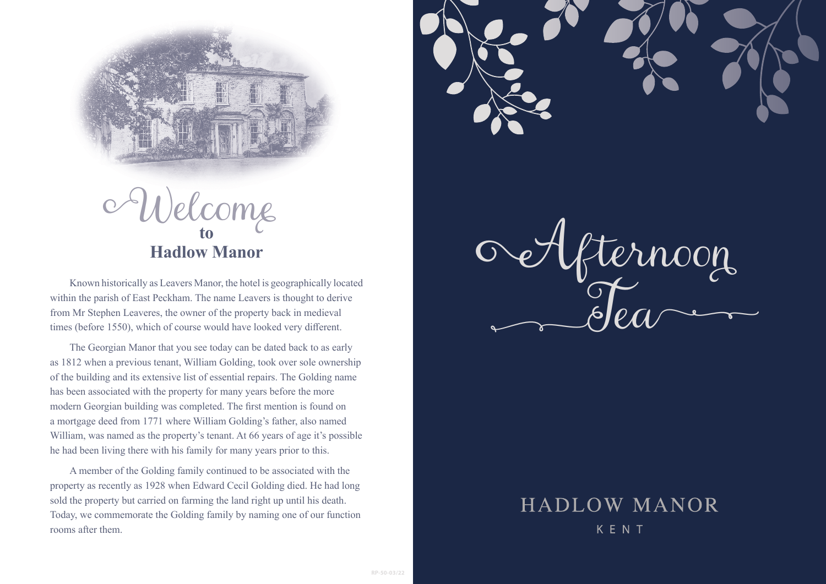



Known historically as Leavers Manor, the hotel is geographically located within the parish of East Peckham. The name Leavers is thought to derive from Mr Stephen Leaveres, the owner of the property back in medieval times (before 1550), which of course would have looked very different.

The Georgian Manor that you see today can be dated back to as early as 1812 when a previous tenant, William Golding, took over sole ownership of the building and its extensive list of essential repairs. The Golding name has been associated with the property for many years before the more modern Georgian building was completed. The first mention is found on a mortgage deed from 1771 where William Golding's father, also named William, was named as the property's tenant. At 66 years of age it's possible he had been living there with his family for many years prior to this.

A member of the Golding family continued to be associated with the property as recently as 1928 when Edward Cecil Golding died. He had long sold the property but carried on farming the land right up until his death. Today, we commemorate the Golding family by naming one of our function rooms after them.



fternoon Sea

## **HADLOW MANOR** KENT